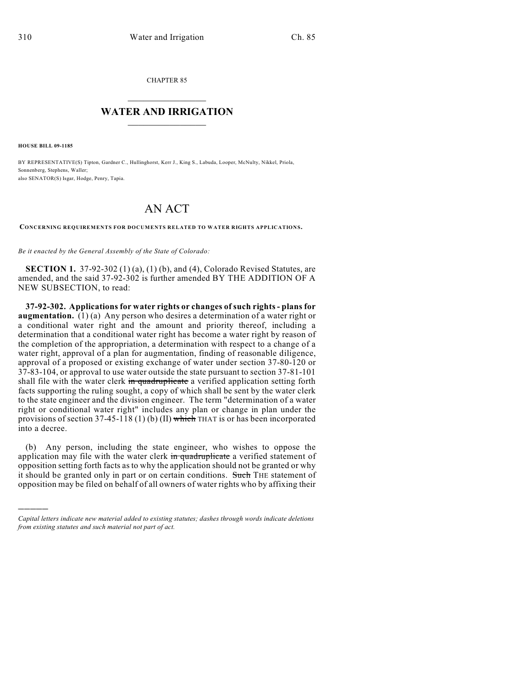CHAPTER 85  $\overline{\phantom{a}}$  . The set of the set of the set of the set of the set of the set of the set of the set of the set of the set of the set of the set of the set of the set of the set of the set of the set of the set of the set o

## **WATER AND IRRIGATION**  $\_$   $\_$

**HOUSE BILL 09-1185**

)))))

BY REPRESENTATIVE(S) Tipton, Gardner C., Hullinghorst, Kerr J., King S., Labuda, Looper, McNulty, Nikkel, Priola, Sonnenberg, Stephens, Waller; also SENATOR(S) Isgar, Hodge, Penry, Tapia.

## AN ACT

**CONCERNING REQUIREMENTS FOR DOCUMENTS RELATED TO WATER RIGHTS APPLICATIONS.**

*Be it enacted by the General Assembly of the State of Colorado:*

**SECTION 1.** 37-92-302 (1) (a), (1) (b), and (4), Colorado Revised Statutes, are amended, and the said 37-92-302 is further amended BY THE ADDITION OF A NEW SUBSECTION, to read:

**37-92-302. Applications for water rights or changes of such rights - plans for augmentation.** (1) (a) Any person who desires a determination of a water right or a conditional water right and the amount and priority thereof, including a determination that a conditional water right has become a water right by reason of the completion of the appropriation, a determination with respect to a change of a water right, approval of a plan for augmentation, finding of reasonable diligence, approval of a proposed or existing exchange of water under section 37-80-120 or 37-83-104, or approval to use water outside the state pursuant to section 37-81-101 shall file with the water clerk in quadruplicate a verified application setting forth facts supporting the ruling sought, a copy of which shall be sent by the water clerk to the state engineer and the division engineer. The term "determination of a water right or conditional water right" includes any plan or change in plan under the provisions of section  $37-45-118$  (1) (b) (II) which THAT is or has been incorporated into a decree.

(b) Any person, including the state engineer, who wishes to oppose the application may file with the water clerk in quadruplicate a verified statement of opposition setting forth facts as to why the application should not be granted or why it should be granted only in part or on certain conditions. Such THE statement of opposition may be filed on behalf of all owners of water rights who by affixing their

*Capital letters indicate new material added to existing statutes; dashes through words indicate deletions from existing statutes and such material not part of act.*